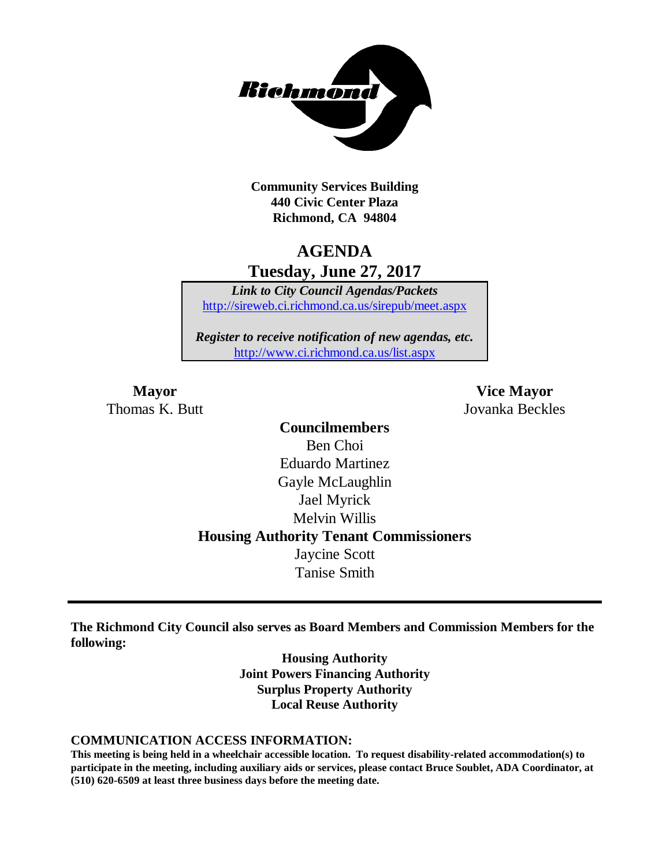

**Community Services Building 440 Civic Center Plaza Richmond, CA 94804**

# **AGENDA Tuesday, June 27, 2017**

*Link to City Council Agendas/Packets* <http://sireweb.ci.richmond.ca.us/sirepub/meet.aspx>

*Register to receive notification of new agendas, etc.* <http://www.ci.richmond.ca.us/list.aspx>

**Mayor Vice Mayor** Thomas K. Butt Jovanka Beckles

> **Councilmembers** Ben Choi Eduardo Martinez Gayle McLaughlin Jael Myrick Melvin Willis **Housing Authority Tenant Commissioners** Jaycine Scott Tanise Smith

**The Richmond City Council also serves as Board Members and Commission Members for the following:**

> **Housing Authority Joint Powers Financing Authority Surplus Property Authority Local Reuse Authority**

#### **COMMUNICATION ACCESS INFORMATION:**

**This meeting is being held in a wheelchair accessible location. To request disability-related accommodation(s) to participate in the meeting, including auxiliary aids or services, please contact Bruce Soublet, ADA Coordinator, at (510) 620-6509 at least three business days before the meeting date.**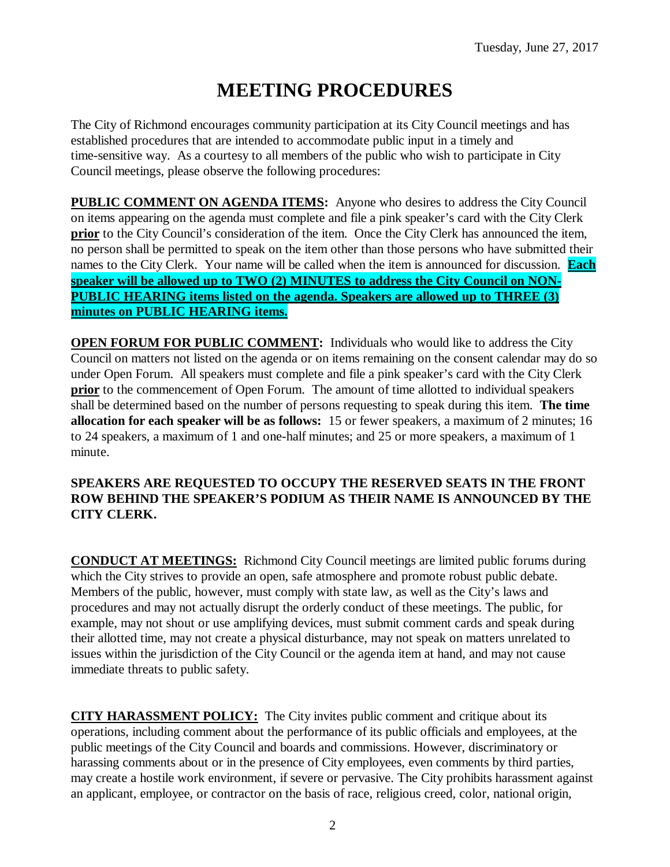# **MEETING PROCEDURES**

The City of Richmond encourages community participation at its City Council meetings and has established procedures that are intended to accommodate public input in a timely and time-sensitive way. As a courtesy to all members of the public who wish to participate in City Council meetings, please observe the following procedures:

**PUBLIC COMMENT ON AGENDA ITEMS:** Anyone who desires to address the City Council on items appearing on the agenda must complete and file a pink speaker's card with the City Clerk **prior** to the City Council's consideration of the item. Once the City Clerk has announced the item, no person shall be permitted to speak on the item other than those persons who have submitted their names to the City Clerk. Your name will be called when the item is announced for discussion. **Each speaker will be allowed up to TWO (2) MINUTES to address the City Council on NON-PUBLIC HEARING items listed on the agenda. Speakers are allowed up to THREE (3) minutes on PUBLIC HEARING items.**

**OPEN FORUM FOR PUBLIC COMMENT:** Individuals who would like to address the City Council on matters not listed on the agenda or on items remaining on the consent calendar may do so under Open Forum. All speakers must complete and file a pink speaker's card with the City Clerk **prior** to the commencement of Open Forum. The amount of time allotted to individual speakers shall be determined based on the number of persons requesting to speak during this item. **The time allocation for each speaker will be as follows:** 15 or fewer speakers, a maximum of 2 minutes; 16 to 24 speakers, a maximum of 1 and one-half minutes; and 25 or more speakers, a maximum of 1 minute.

### **SPEAKERS ARE REQUESTED TO OCCUPY THE RESERVED SEATS IN THE FRONT ROW BEHIND THE SPEAKER'S PODIUM AS THEIR NAME IS ANNOUNCED BY THE CITY CLERK.**

**CONDUCT AT MEETINGS:** Richmond City Council meetings are limited public forums during which the City strives to provide an open, safe atmosphere and promote robust public debate. Members of the public, however, must comply with state law, as well as the City's laws and procedures and may not actually disrupt the orderly conduct of these meetings. The public, for example, may not shout or use amplifying devices, must submit comment cards and speak during their allotted time, may not create a physical disturbance, may not speak on matters unrelated to issues within the jurisdiction of the City Council or the agenda item at hand, and may not cause immediate threats to public safety.

**CITY HARASSMENT POLICY:** The City invites public comment and critique about its operations, including comment about the performance of its public officials and employees, at the public meetings of the City Council and boards and commissions. However, discriminatory or harassing comments about or in the presence of City employees, even comments by third parties, may create a hostile work environment, if severe or pervasive. The City prohibits harassment against an applicant, employee, or contractor on the basis of race, religious creed, color, national origin,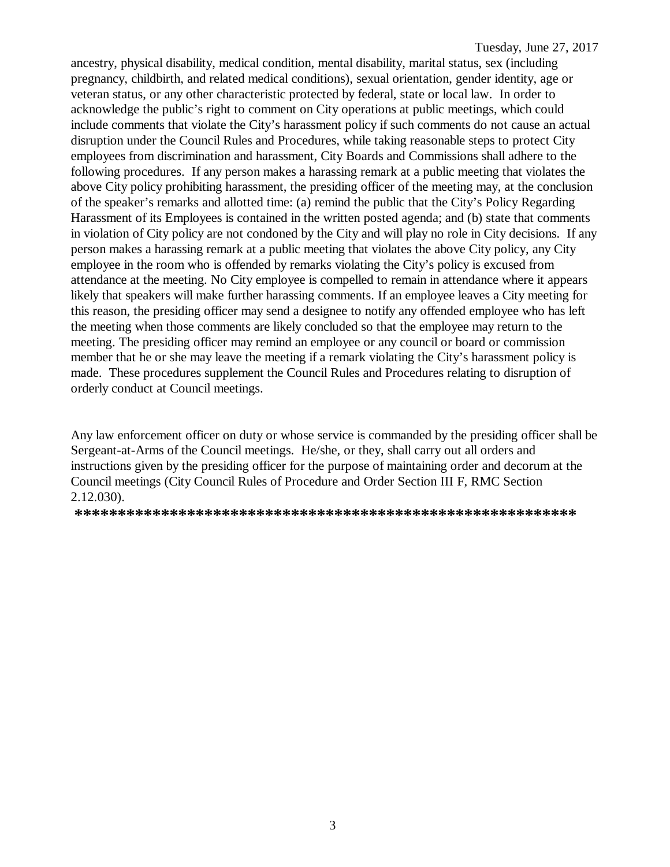ancestry, physical disability, medical condition, mental disability, marital status, sex (including pregnancy, childbirth, and related medical conditions), sexual orientation, gender identity, age or veteran status, or any other characteristic protected by federal, state or local law. In order to acknowledge the public's right to comment on City operations at public meetings, which could include comments that violate the City's harassment policy if such comments do not cause an actual disruption under the Council Rules and Procedures, while taking reasonable steps to protect City employees from discrimination and harassment, City Boards and Commissions shall adhere to the following procedures. If any person makes a harassing remark at a public meeting that violates the above City policy prohibiting harassment, the presiding officer of the meeting may, at the conclusion of the speaker's remarks and allotted time: (a) remind the public that the City's Policy Regarding Harassment of its Employees is contained in the written posted agenda; and (b) state that comments in violation of City policy are not condoned by the City and will play no role in City decisions. If any person makes a harassing remark at a public meeting that violates the above City policy, any City employee in the room who is offended by remarks violating the City's policy is excused from attendance at the meeting. No City employee is compelled to remain in attendance where it appears likely that speakers will make further harassing comments. If an employee leaves a City meeting for this reason, the presiding officer may send a designee to notify any offended employee who has left the meeting when those comments are likely concluded so that the employee may return to the meeting. The presiding officer may remind an employee or any council or board or commission member that he or she may leave the meeting if a remark violating the City's harassment policy is made. These procedures supplement the Council Rules and Procedures relating to disruption of orderly conduct at Council meetings.

Any law enforcement officer on duty or whose service is commanded by the presiding officer shall be Sergeant-at-Arms of the Council meetings. He/she, or they, shall carry out all orders and instructions given by the presiding officer for the purpose of maintaining order and decorum at the Council meetings (City Council Rules of Procedure and Order Section III F, RMC Section 2.12.030).

**\*\*\*\*\*\*\*\*\*\*\*\*\*\*\*\*\*\*\*\*\*\*\*\*\*\*\*\*\*\*\*\*\*\*\*\*\*\*\*\*\*\*\*\*\*\*\*\*\*\*\*\*\*\*\*\*\*\***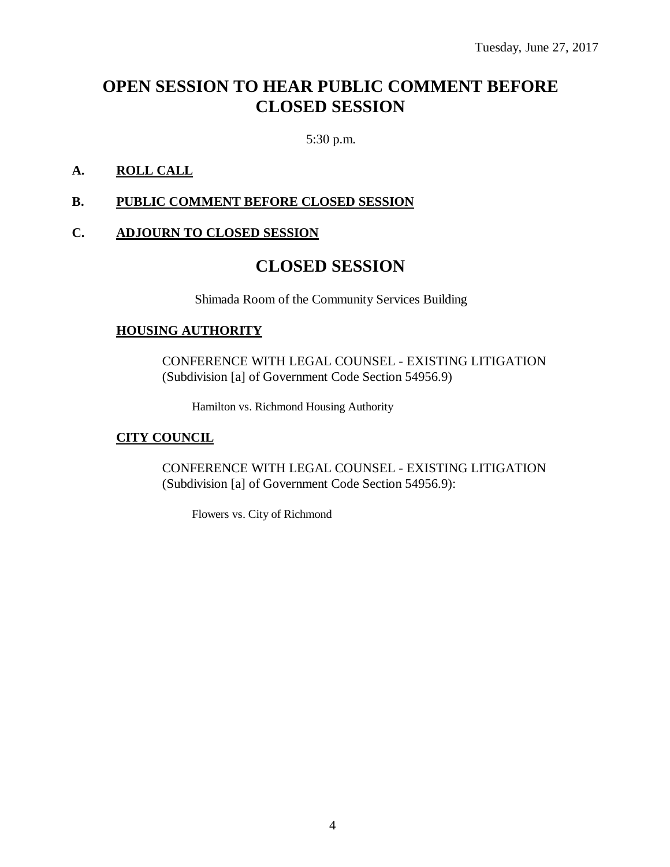# **OPEN SESSION TO HEAR PUBLIC COMMENT BEFORE CLOSED SESSION**

5:30 p.m.

## **A. ROLL CALL**

### **B. PUBLIC COMMENT BEFORE CLOSED SESSION**

# **C. ADJOURN TO CLOSED SESSION**

# **CLOSED SESSION**

Shimada Room of the Community Services Building

### **HOUSING AUTHORITY**

CONFERENCE WITH LEGAL COUNSEL - EXISTING LITIGATION (Subdivision [a] of Government Code Section 54956.9)

Hamilton vs. Richmond Housing Authority

### **CITY COUNCIL**

CONFERENCE WITH LEGAL COUNSEL - EXISTING LITIGATION (Subdivision [a] of Government Code Section 54956.9):

Flowers vs. City of Richmond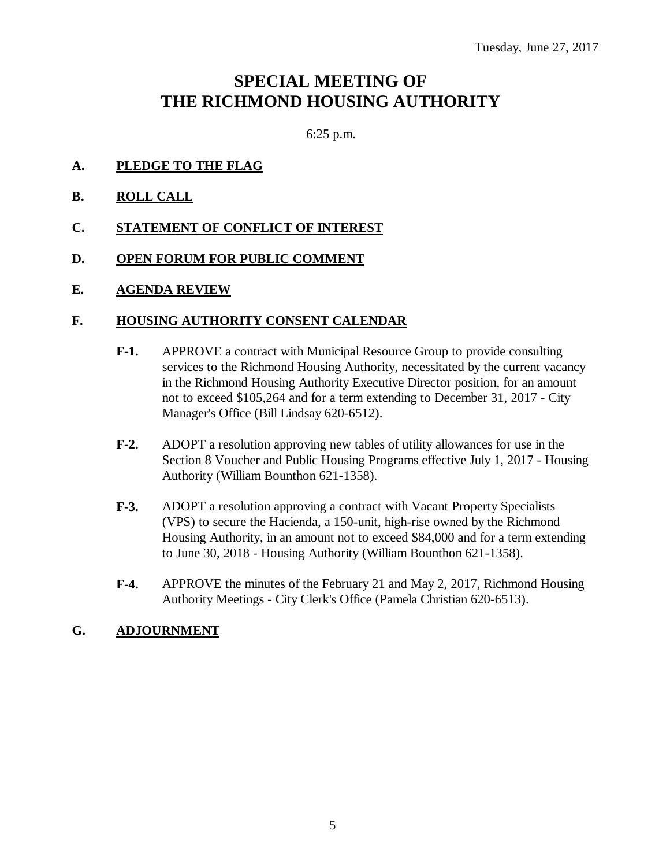# **SPECIAL MEETING OF THE RICHMOND HOUSING AUTHORITY**

6:25 p.m.

- **A. PLEDGE TO THE FLAG**
- **B. ROLL CALL**
- **C. STATEMENT OF CONFLICT OF INTEREST**
- **D. OPEN FORUM FOR PUBLIC COMMENT**
- **E. AGENDA REVIEW**

### **F. HOUSING AUTHORITY CONSENT CALENDAR**

- **F-1.** APPROVE a contract with Municipal Resource Group to provide consulting services to the Richmond Housing Authority, necessitated by the current vacancy in the Richmond Housing Authority Executive Director position, for an amount not to exceed \$105,264 and for a term extending to December 31, 2017 - City Manager's Office (Bill Lindsay 620-6512).
- **F-2.** ADOPT a resolution approving new tables of utility allowances for use in the Section 8 Voucher and Public Housing Programs effective July 1, 2017 - Housing Authority (William Bounthon 621-1358).
- **F-3.** ADOPT a resolution approving a contract with Vacant Property Specialists (VPS) to secure the Hacienda, a 150-unit, high-rise owned by the Richmond Housing Authority, in an amount not to exceed \$84,000 and for a term extending to June 30, 2018 - Housing Authority (William Bounthon 621-1358).
- **F-4.** APPROVE the minutes of the February 21 and May 2, 2017, Richmond Housing Authority Meetings - City Clerk's Office (Pamela Christian 620-6513).

### **G. ADJOURNMENT**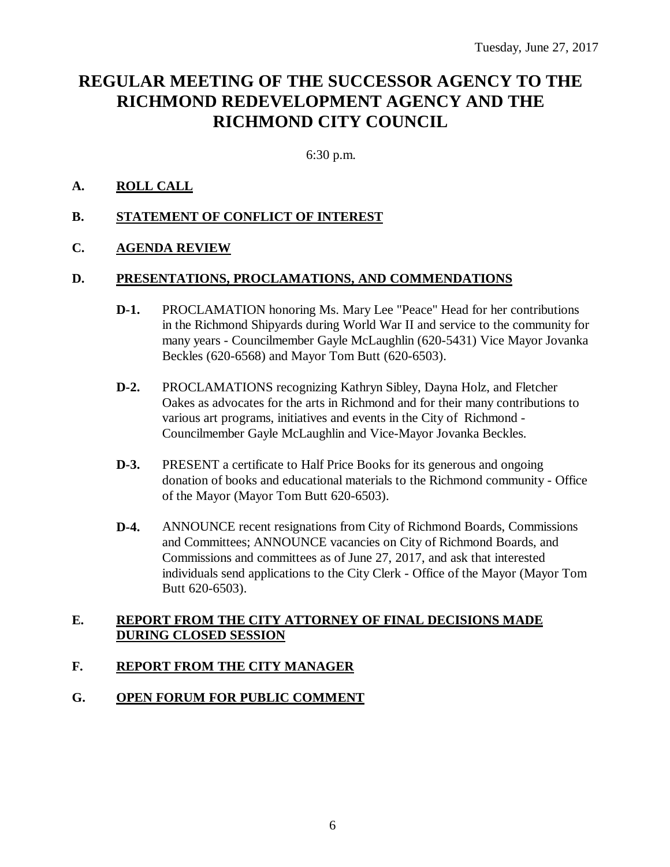# **REGULAR MEETING OF THE SUCCESSOR AGENCY TO THE RICHMOND REDEVELOPMENT AGENCY AND THE RICHMOND CITY COUNCIL**

6:30 p.m.

### **A. ROLL CALL**

### **B. STATEMENT OF CONFLICT OF INTEREST**

### **C. AGENDA REVIEW**

#### **D. PRESENTATIONS, PROCLAMATIONS, AND COMMENDATIONS**

- **D-1.** PROCLAMATION honoring Ms. Mary Lee "Peace" Head for her contributions in the Richmond Shipyards during World War II and service to the community for many years - Councilmember Gayle McLaughlin (620-5431) Vice Mayor Jovanka Beckles (620-6568) and Mayor Tom Butt (620-6503).
- **D-2.** PROCLAMATIONS recognizing Kathryn Sibley, Dayna Holz, and Fletcher Oakes as advocates for the arts in Richmond and for their many contributions to various art programs, initiatives and events in the City of Richmond - Councilmember Gayle McLaughlin and Vice-Mayor Jovanka Beckles.
- **D-3.** PRESENT a certificate to Half Price Books for its generous and ongoing donation of books and educational materials to the Richmond community - Office of the Mayor (Mayor Tom Butt 620-6503).
- **D-4.** ANNOUNCE recent resignations from City of Richmond Boards, Commissions and Committees; ANNOUNCE vacancies on City of Richmond Boards, and Commissions and committees as of June 27, 2017, and ask that interested individuals send applications to the City Clerk - Office of the Mayor (Mayor Tom Butt 620-6503).

### **E. REPORT FROM THE CITY ATTORNEY OF FINAL DECISIONS MADE DURING CLOSED SESSION**

### **F. REPORT FROM THE CITY MANAGER**

### **G. OPEN FORUM FOR PUBLIC COMMENT**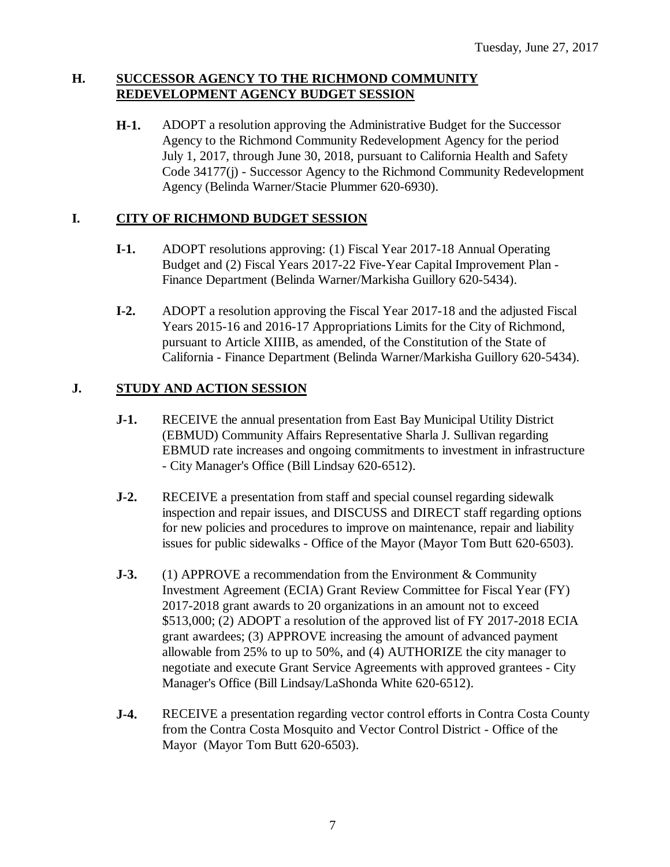### **H. SUCCESSOR AGENCY TO THE RICHMOND COMMUNITY REDEVELOPMENT AGENCY BUDGET SESSION**

**H-1.** ADOPT a resolution approving the Administrative Budget for the Successor Agency to the Richmond Community Redevelopment Agency for the period July 1, 2017, through June 30, 2018, pursuant to California Health and Safety Code 34177(j) - Successor Agency to the Richmond Community Redevelopment Agency (Belinda Warner/Stacie Plummer 620-6930).

# **I. CITY OF RICHMOND BUDGET SESSION**

- **I-1.** ADOPT resolutions approving: (1) Fiscal Year 2017-18 Annual Operating Budget and (2) Fiscal Years 2017-22 Five-Year Capital Improvement Plan - Finance Department (Belinda Warner/Markisha Guillory 620-5434).
- **I-2.** ADOPT a resolution approving the Fiscal Year 2017-18 and the adjusted Fiscal Years 2015-16 and 2016-17 Appropriations Limits for the City of Richmond, pursuant to Article XIIIB, as amended, of the Constitution of the State of California - Finance Department (Belinda Warner/Markisha Guillory 620-5434).

# **J. STUDY AND ACTION SESSION**

- **J-1.** RECEIVE the annual presentation from East Bay Municipal Utility District (EBMUD) Community Affairs Representative Sharla J. Sullivan regarding EBMUD rate increases and ongoing commitments to investment in infrastructure - City Manager's Office (Bill Lindsay 620-6512).
- **J-2.** RECEIVE a presentation from staff and special counsel regarding sidewalk inspection and repair issues, and DISCUSS and DIRECT staff regarding options for new policies and procedures to improve on maintenance, repair and liability issues for public sidewalks - Office of the Mayor (Mayor Tom Butt 620-6503).
- **J-3.** (1) APPROVE a recommendation from the Environment & Community Investment Agreement (ECIA) Grant Review Committee for Fiscal Year (FY) 2017-2018 grant awards to 20 organizations in an amount not to exceed \$513,000; (2) ADOPT a resolution of the approved list of FY 2017-2018 ECIA grant awardees; (3) APPROVE increasing the amount of advanced payment allowable from 25% to up to 50%, and (4) AUTHORIZE the city manager to negotiate and execute Grant Service Agreements with approved grantees - City Manager's Office (Bill Lindsay/LaShonda White 620-6512).
- **J-4.** RECEIVE a presentation regarding vector control efforts in Contra Costa County from the Contra Costa Mosquito and Vector Control District - Office of the Mayor (Mayor Tom Butt 620-6503).